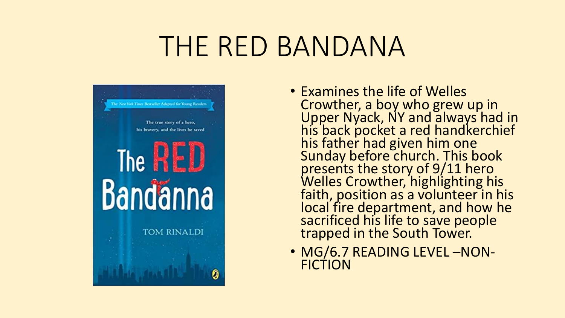# THE RED BANDANA



- Examines the life of Welles Crowther, a boy who grew up in Upper Nyack, NY and always had in his back pocket a red handkerchief his father had given him one Sunday before church. This book presents the story of 9/11 hero Welles Crowther, highlighting his faith, position as a volunteer in his local fire department, and how he sacrificed his life to save people trapped in the South Tower.
- MG/6.7 READING LEVEL -NON-FICTION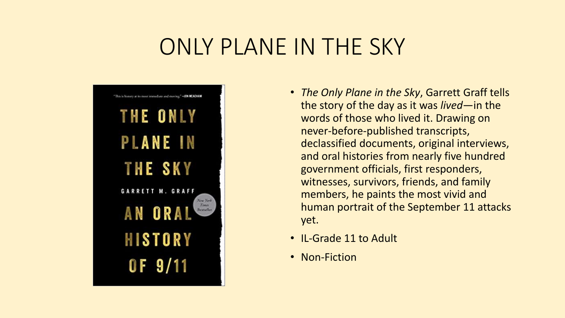### ONLY PLANE IN THE SKY



- *The Only Plane in the Sky*, Garrett Graff tells the story of the day as it was *lived*—in the words of those who lived it. Drawing on never-before-published transcripts, declassified documents, original interviews, and oral histories from nearly five hundred government officials, first responders, witnesses, survivors, friends, and family members, he paints the most vivid and human portrait of the September 11 attacks yet.
- IL-Grade 11 to Adult
- Non-Fiction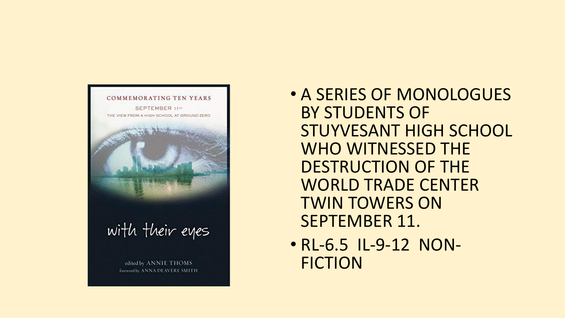

- A SERIES OF MONOLOGUES BY STUDENTS OF STUYVESANT HIGH SCHOOL WHO WITNESSED THE DESTRUCTION OF THE WORLD TRADE CENTER TWIN TOWERS ON SEPTEMBER 11.
- RL-6.5 IL-9-12 NON-FICTION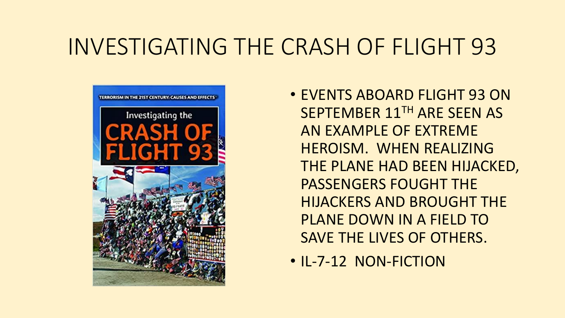### INVESTIGATING THE CRASH OF FLIGHT 93



- EVENTS ABOARD FLIGHT 93 ON SEPTEMBER 11TH ARE SEEN AS AN EXAMPLE OF EXTREME HEROISM. WHEN REALIZING THE PLANE HAD BEEN HIJACKED, PASSENGERS FOUGHT THE HIJACKERS AND BROUGHT THE PLANE DOWN IN A FIELD TO SAVE THE LIVES OF OTHERS.
- IL-7-12 NON-FICTION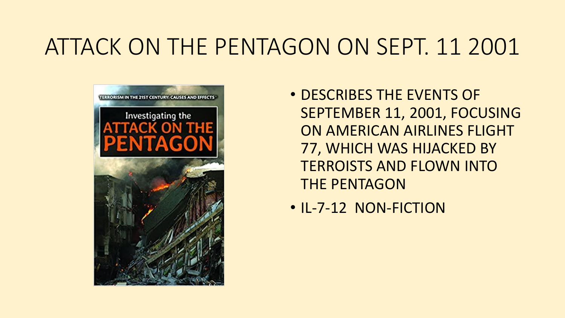### ATTACK ON THE PENTAGON ON SEPT. 11 2001



- DESCRIBES THE EVENTS OF SEPTEMBER 11, 2001, FOCUSING ON AMERICAN AIRLINES FLIGHT 77, WHICH WAS HIJACKED BY TERROISTS AND FLOWN INTO THE PENTAGON
- IL-7-12 NON-FICTION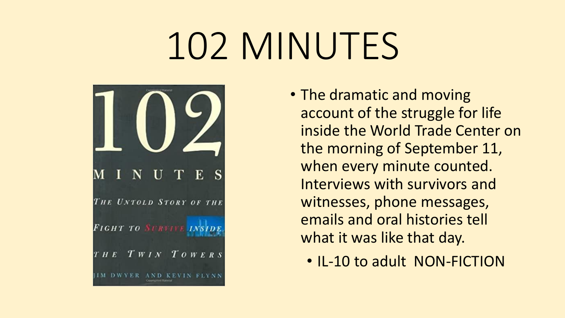# 102 MINUTES



- The dramatic and moving account of the struggle for life inside the World Trade Center on the morning of September 11, when every minute counted. Interviews with survivors and witnesses, phone messages, emails and oral histories tell what it was like that day.
	- IL-10 to adult NON-FICTION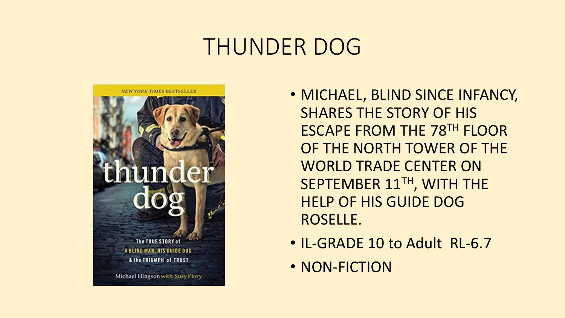### THUNDER DOG



- MICHAEL, BLIND SINCE INFANCY, SHARES THE STORY OF HIS ESCAPE FROM THE 78TH FLOOR OF THE NORTH TOWER OF THE WORLD TRADE CENTER ON SEPTEMBER 11TH, WITH THE HELP OF HIS GUIDE DOG ROSELLE.
- IL-GRADE 10 to Adult RL-6.7
- NON-FICTION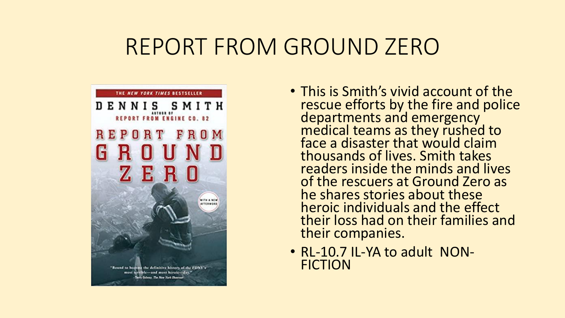### REPORT FROM GROUND ZERO



- This is Smith's vivid account of the rescue efforts by the fire and police departments and emergency medical teams as they rushed to face a disaster that would claim thousands of lives. Smith takes readers inside the minds and lives of the rescuers at Ground Zero as he shares stories about these heroic individuals and the effect their loss had on their families and their companies.
- RL-10.7 IL-YA to adult NON-FICTION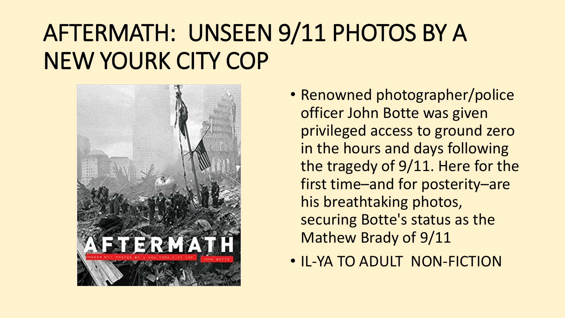## AFTERMATH: UNSEEN 9/11 PHOTOS BY A NEW YOURK CITY COP



- Renowned photographer/police officer John Botte was given privileged access to ground zero in the hours and days following the tragedy of 9/11. Here for the first time–and for posterity–are his breathtaking photos, securing Botte's status as the Mathew Brady of 9/11
- IL-YA TO ADULT NON-FICTION